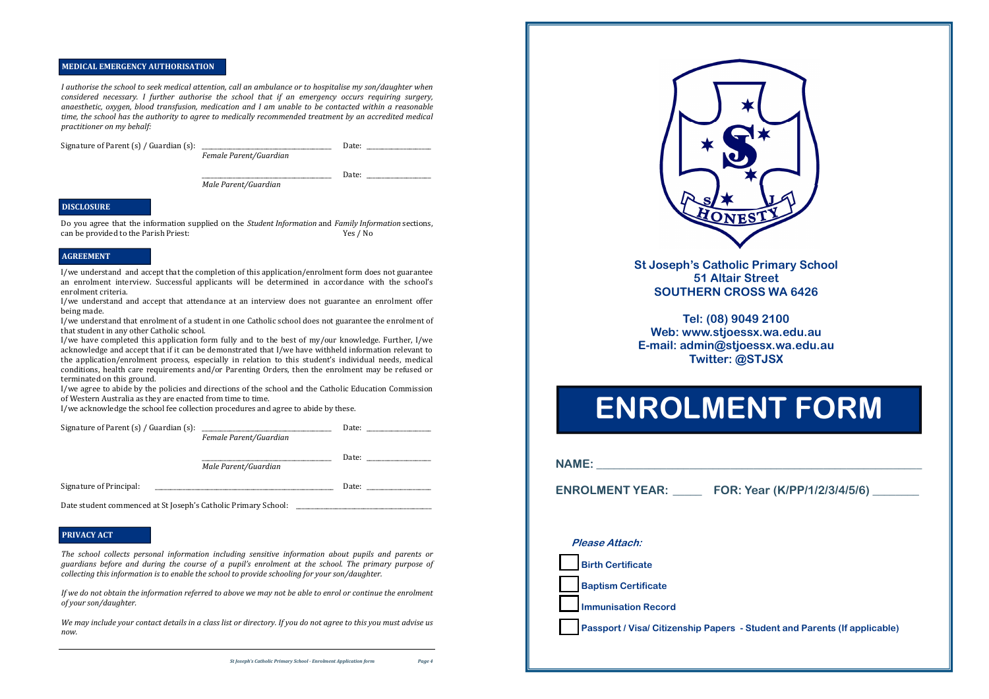### **MEDICAL EMERGENCY AUTHORISATION**

I authorise the school to seek medical attention, call an ambulance or to hospitalise my son/daughter when *considered necessary. I further authorise the school that if an emergency occurs requiring surgery, anaesthetic, oxygen, blood transfusion, medication and I am unable to be contacted within <sup>a</sup> reasonable time, the school has the authority to agree to medically recommended treatment by an accredited medical practitioner on my behalf:*

Signature of Parent (s) / Guardian (s): \_\_\_\_\_\_\_\_\_\_\_\_\_\_\_\_\_\_\_\_\_\_\_\_\_\_\_\_\_\_\_\_\_\_\_\_\_\_\_\_\_\_ Date: \_\_\_\_\_\_\_\_\_\_\_\_\_\_\_\_\_\_\_\_\_

*Female Parent/Guardian*

\_\_\_\_\_\_\_\_\_\_\_\_\_\_\_\_\_\_\_\_\_\_\_\_\_\_\_\_\_\_\_\_\_\_\_\_\_\_\_\_\_\_ Date: \_\_\_\_\_\_\_\_\_\_\_\_\_\_\_\_\_\_\_\_\_

*Male Parent/Guardian*

Do you agree that the information supplied on the *Student Information* and *Family Information* sections, can be provided to the Parish Priest: Yes / No

I/we understand and accept that the completion of this application/enrolment form does not guarantee an enrolment interview. Successful applicants will be determined in accordance with the school's enrolment criteria.

I/we understand and accept that attendance at an interview does not guarantee an enrolment offer being made.

I/we understand that enrolment of a student in one Catholic school does not guarantee the enrolment of that student in any other Catholic school.

If we do not obtain the information referred to above we may not be able to enrol or continue the enrolment *of your son/daughter.*

We may include your contact details in a class list or directory. If you do not agree to this you must advise us *now.*



I/we have completed this application form fully and to the best of my/our knowledge. Further, I/we acknowledge and accept that if it can be demonstrated that I/we have withheld information relevant to the application/enrolment process, especially in relation to this student's individual needs, medical conditions, health care requirements and/or Parenting Orders, then the enrolment may be refused or terminated on this ground.

I/we agree to abide by the policies and directions of the school and the Catholic Education Commission of Western Australia as they are enacted from time to time.

I/we acknowledge the school fee collection procedures and agree to abide by these.

| Signature of Parent (s) / Guardian (s): | <u> 1986 - Jan Samuel Barbara, martin d</u> | Date: |  |
|-----------------------------------------|---------------------------------------------|-------|--|
|                                         | Female Parent/Guardian                      |       |  |
|                                         |                                             | Date: |  |
|                                         | Male Parent/Guardian                        |       |  |
| Signature of Principal:                 |                                             | Date: |  |

Date student commenced at St Joseph's Catholic Primary School:

*The school collects personal information including sensitive information about pupils and parents or* guardians before and during the course of a pupil's enrolment at the school. The primary purpose of *collecting this information is to enable the school to provide schooling for your son/daughter.*

## **DISCLOSURE**

## **AGREEMENT**

#### **PRIVACY ACT**

**St Joseph's Catholic Primary School 51 Altair Street SOUTHERN CROSS WA 6426** 

**Tel: (08) 9049 2100 Web: www.stjoessx.wa.edu.au E-mail: admin@stjoessx.wa.edu.au Twitter: @STJSX** 

# **ENROLMENT FORM**

| <b>ENROLMENT YEAR:</b>     | FOR: Year (K/PP/1/2/3/4/5/6) __ |
|----------------------------|---------------------------------|
|                            |                                 |
| Please Attach:             |                                 |
| <b>Birth Certificate</b>   |                                 |
| <b>Baptism Certificate</b> |                                 |
| <b>Immunisation Record</b> |                                 |